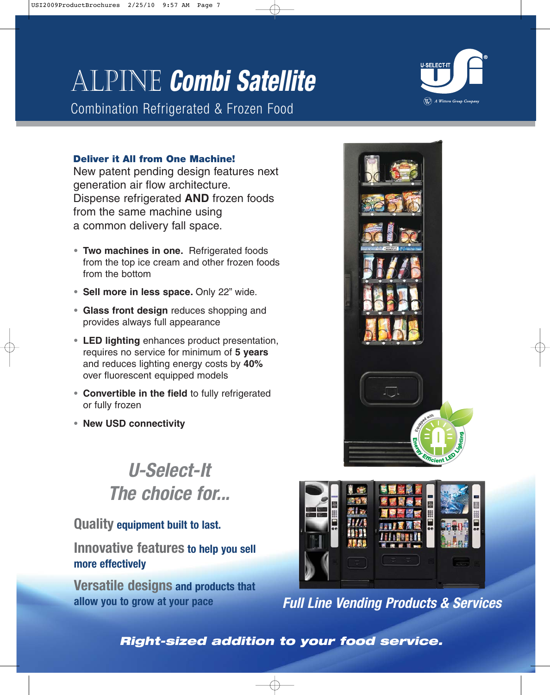# Alpine **Combi Satellite**

Combination Refrigerated & Frozen Food



### **Deliver it All from One Machine!**

New patent pending design features next generation air flow architecture. Dispense refrigerated **AND** frozen foods from the same machine using a common delivery fall space.

- **• Two machines in one.** Refrigerated foods from the top ice cream and other frozen foods from the bottom
- **• Sell more in less space.** Only 22" wide.
- **• Glass front design** reduces shopping and provides always full appearance
- **• LED lighting** enhances product presentation, requires no service for minimum of **5 years** and reduces lighting energy costs by **40%** over fluorescent equipped models
- **• Convertible in the field** to fully refrigerated or fully frozen
- **• New USD connectivity**

# **U-Select-It The choice for...**

### **Quality equipment built to last.**

**Innovative features to help you sell more effectively**

**Versatile designs and products that allow you to grow at your pace**





**Full Line Vending Products & Services**

### **Right-sized addition to your food service.**